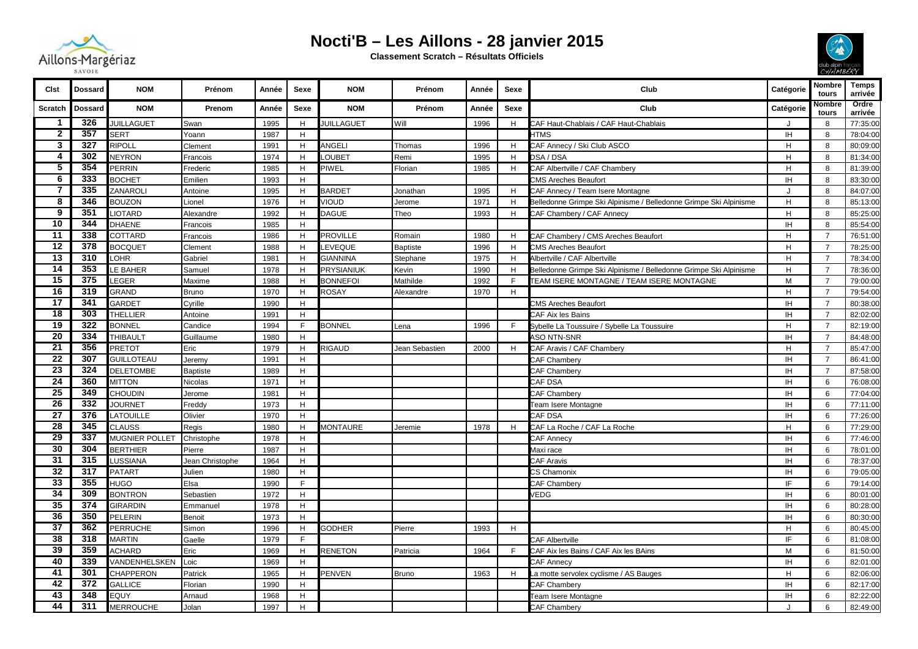

## **Nocti'B – Les Aillons - 28 janvier 2015 Classement Scratch – Résultats Officiels**



| <b>Clst</b>     | <b>Dossard</b> | <b>NOM</b>        | Prénom          | Année | Sexe        | <b>NOM</b>        | Prénom          | Année | Sexe        | Club                                                              | Catégorie | Nombre<br>tours | <b>Temps</b><br>arrivée |
|-----------------|----------------|-------------------|-----------------|-------|-------------|-------------------|-----------------|-------|-------------|-------------------------------------------------------------------|-----------|-----------------|-------------------------|
| <b>Scratch</b>  | Dossard        | <b>NOM</b>        | Prenom          | Année | Sexe        | <b>NOM</b>        | Prénom          | Année | <b>Sexe</b> | Club                                                              | Catégorie | Nombre<br>tours | Ordre<br>arrivée        |
| $\mathbf{1}$    | 326            | <b>JUILLAGUET</b> | Swan            | 1995  | H           | <b>JUILLAGUET</b> | Will            | 1996  | H           | CAF Haut-Chablais / CAF Haut-Chablais                             | J         | 8               | 77:35:00                |
| $\overline{2}$  | 357            | <b>SERT</b>       | Yoann           | 1987  | H           |                   |                 |       |             | <b>HTMS</b>                                                       | <b>IH</b> | 8               | 78:04:00                |
| 3               | 327            | <b>RIPOLL</b>     | Clement         | 1991  | $\mathsf H$ | ANGELI            | Thomas          | 1996  | H           | CAF Annecy / Ski Club ASCO                                        | H         | 8               | 80:09:00                |
| 4               | 302            | <b>NEYRON</b>     | Francois        | 1974  | H           | LOUBET            | Remi            | 1995  | H           | DSA / DSA                                                         | H         | 8               | 81:34:00                |
| 5               | 354            | PERRIN            | Frederic        | 1985  | H           | PIWEL             | Florian         | 1985  | H           | CAF Albertville / CAF Chambery                                    | H         | 8               | 81:39:00                |
| $6\phantom{1}6$ | 333            | <b>BOCHET</b>     | Emilien         | 1993  | H           |                   |                 |       |             | <b>CMS Areches Beaufort</b>                                       | <b>IH</b> | 8               | 83:30:00                |
| $\overline{7}$  | 335            | ZANAROLI          | Antoine         | 1995  | H           | <b>BARDET</b>     | Jonathan        | 1995  | H           | CAF Annecy / Team Isere Montagne                                  | J         | 8               | 84:07:00                |
| 8               | 346            | <b>BOUZON</b>     | Lionel          | 1976  | H           | <b>JIOUD</b>      | Jerome          | 1971  | H           | Belledonne Grimpe Ski Alpinisme / Belledonne Grimpe Ski Alpinisme | H         | 8               | 85:13:00                |
| 9               | 351            | <b>IOTARD</b>     | Alexandre       | 1992  | H           | DAGUE             | Theo            | 1993  | H           | CAF Chambery / CAF Annecy                                         | H         | 8               | 85:25:00                |
| $\overline{10}$ | 344            | DHAENE            | Francois        | 1985  | H           |                   |                 |       |             |                                                                   | IH.       | 8               | 85:54:00                |
| 11              | 338            | COTTARD           | Francois        | 1986  | H           | <b>PROVILLE</b>   | Romain          | 1980  | H           | CAF Chambery / CMS Areches Beaufort                               | H         | $\overline{7}$  | 76:51:00                |
| $\overline{12}$ | 378            | <b>BOCQUET</b>    | Clement         | 1988  | $\mathsf H$ | <b>EVEQUE</b>     | <b>Baptiste</b> | 1996  | H           | <b>CMS Areches Beaufort</b>                                       | H         | $\overline{7}$  | 78:25:00                |
| $\overline{13}$ | 310            | LOHR              | Gabriel         | 1981  | H           | <b>GIANNINA</b>   | Stephane        | 1975  | H           | Albertville / CAF Albertville                                     | H         | $\overline{7}$  | 78:34:00                |
| 14              | 353            | LE BAHER          | Samuel          | 1978  | H           | <b>PRYSIANIUK</b> | Kevin           | 1990  | H           | Belledonne Grimpe Ski Alpinisme / Belledonne Grimpe Ski Alpinisme | H         | $\overline{7}$  | 78:36:00                |
| 15              | 375            | LEGER             | Maxime          | 1988  | H           | <b>BONNEFOI</b>   | Mathilde        | 1992  | E           | TEAM ISERE MONTAGNE / TEAM ISERE MONTAGNE                         | M         | $\overline{7}$  | 79:00:00                |
| 16              | 319            | GRAND             | <b>Bruno</b>    | 1970  | $\mathsf H$ | <b>ROSAY</b>      | Alexandre       | 1970  | H           |                                                                   | H         | $\overline{7}$  | 79:54:00                |
| 17              | 341            | GARDET            | Cyrille         | 1990  | H           |                   |                 |       |             | <b>CMS Areches Beaufort</b>                                       | <b>IH</b> | $\overline{7}$  | 80:38:00                |
| $\overline{18}$ | 303            | <b>THELLIER</b>   | Antoine         | 1991  | H           |                   |                 |       |             | CAF Aix les Bains                                                 | <b>IH</b> | $\overline{7}$  | 82:02:00                |
| $\overline{19}$ | 322            | <b>BONNEL</b>     | Candice         | 1994  | F.          | <b>BONNEL</b>     | Lena            | 1996  | F.          | Sybelle La Toussuire / Sybelle La Toussuire                       | H         | $\overline{7}$  | 82:19:00                |
| $\overline{20}$ | 334            | <b>THIBAULT</b>   | Guillaume       | 1980  | H           |                   |                 |       |             | ASO NTN-SNR                                                       | IH.       | $\overline{7}$  | 84:48:00                |
| $\overline{21}$ | 356            | <b>PRETOT</b>     | Eric            | 1979  | H           | <b>RIGAUD</b>     | Jean Sebastien  | 2000  | H           | CAF Aravis / CAF Chambery                                         | H         | $\overline{7}$  | 85:47:00                |
| $\overline{22}$ | 307            | <b>GUILLOTEAU</b> | Jeremy          | 1991  | $\mathsf H$ |                   |                 |       |             | CAF Chambery                                                      | IH.       | $\overline{7}$  | 86:41:00                |
| $\overline{23}$ | 324            | <b>DELETOMBE</b>  | Baptiste        | 1989  | H           |                   |                 |       |             | CAF Chambery                                                      | IH.       | $\overline{7}$  | 87:58:00                |
| $\overline{24}$ | 360            | <b>MITTON</b>     | Nicolas         | 1971  | $\mathsf H$ |                   |                 |       |             | CAF DSA                                                           | IH.       | 6               | 76:08:00                |
| $\overline{25}$ | 349            | <b>CHOUDIN</b>    | Jerome          | 1981  | H           |                   |                 |       |             | CAF Chambery                                                      | IH.       | 6               | 77:04:00                |
| $\overline{26}$ | 332            | <b>JOURNET</b>    | Freddy          | 1973  | $\mathsf H$ |                   |                 |       |             | Team Isere Montagne                                               | IH.       | 6               | 77:11:00                |
| $\overline{27}$ | 376            | <b>LATOUILLE</b>  | Olivier         | 1970  | H           |                   |                 |       |             | CAF DSA                                                           | IH        | 6               | 77:26:00                |
| $\overline{28}$ | 345            | <b>CLAUSS</b>     | Regis           | 1980  | H           | <b>MONTAURE</b>   | Jeremie         | 1978  | H           | CAF La Roche / CAF La Roche                                       | H         | 6               | 77:29:00                |
| $\overline{29}$ | 337            | MUGNIER POLLET    | Christophe      | 1978  | H           |                   |                 |       |             | <b>CAF Annecy</b>                                                 | <b>IH</b> | 6               | 77:46:00                |
| 30              | 304            | <b>BERTHIER</b>   | Pierre          | 1987  | $\mathsf H$ |                   |                 |       |             | Maxi race                                                         | <b>IH</b> | 6               | 78:01:00                |
| $\overline{31}$ | 315            | LUSSIANA          | Jean Christophe | 1964  | H           |                   |                 |       |             | CAF Aravis                                                        | IH.       | 6               | 78:37:00                |
| $\overline{32}$ | 317            | PATART            | Julien          | 1980  | $\mathsf H$ |                   |                 |       |             | CS Chamonix                                                       | IH.       | 6               | 79:05:00                |
| $\overline{33}$ | 355            | <b>HUGO</b>       | Elsa            | 1990  | F           |                   |                 |       |             | CAF Chambery                                                      | IF        | 6               | 79:14:00                |
| 34              | 309            | <b>BONTRON</b>    | Sebastien       | 1972  | H           |                   |                 |       |             | /EDG                                                              | IH.       | 6               | 80:01:00                |
| $\overline{35}$ | 374            | <b>GIRARDIN</b>   | Emmanuel        | 1978  | H           |                   |                 |       |             |                                                                   | IH.       | 6               | 80:28:00                |
| 36              | 350            | PELERIN           | Benoit          | 1973  | H           |                   |                 |       |             |                                                                   | IH        | 6               | 80:30:00                |
| $\overline{37}$ | 362            | <b>PERRUCHE</b>   | Simon           | 1996  | H           | <b>GODHER</b>     | Pierre          | 1993  | H           |                                                                   | H         | 6               | 80:45:00                |
| $\overline{38}$ | 318            | <b>MARTIN</b>     | Gaelle          | 1979  | F.          |                   |                 |       |             | CAF Albertville                                                   | IF        | 6               | 81:08:00                |
| 39              | 359            | <b>ACHARD</b>     | Eric            | 1969  | H           | <b>RENETON</b>    | Patricia        | 1964  | E           | CAF Aix les Bains / CAF Aix les BAins                             | M         | 6               | 81:50:00                |
| 40              | 339            | VANDENHELSKEN     | Loic            | 1969  | H           |                   |                 |       |             | CAF Annecy                                                        | IH.       | 6               | 82:01:00                |
| 41              | 301            | CHAPPERON         | Patrick         | 1965  | H           | <b>PENVEN</b>     | <b>Bruno</b>    | 1963  | H           | La motte servolex cyclisme / AS Bauges                            | H         | 6               | 82:06:00                |
| $\overline{42}$ | 372            | <b>GALLICE</b>    | Florian         | 1990  | H           |                   |                 |       |             | CAF Chambery                                                      | IH.       | 6               | 82:17:00                |
| 43              | 348            | EQUY              | Arnaud          | 1968  | H           |                   |                 |       |             | <b>Team Isere Montagne</b>                                        | IH.       | 6               | 82:22:00                |
| 44              | 311            | <b>MERROUCHE</b>  | Jolan           | 1997  | H           |                   |                 |       |             | CAF Chambery                                                      | $\cdot$   | 6               | 82:49:00                |
|                 |                |                   |                 |       |             |                   |                 |       |             |                                                                   |           |                 |                         |